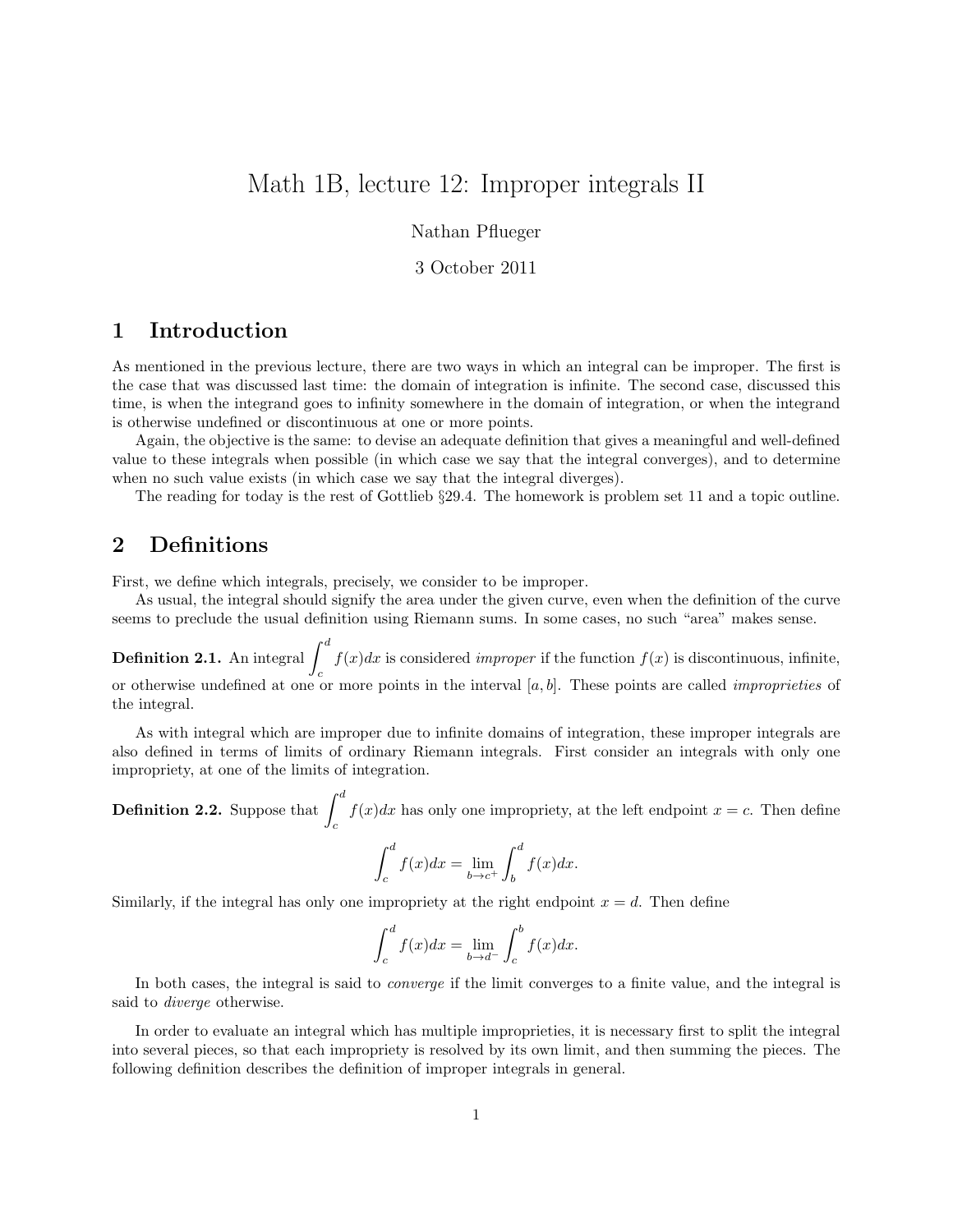# Math 1B, lecture 12: Improper integrals II

Nathan Pflueger

#### 3 October 2011

### 1 Introduction

As mentioned in the previous lecture, there are two ways in which an integral can be improper. The first is the case that was discussed last time: the domain of integration is infinite. The second case, discussed this time, is when the integrand goes to infinity somewhere in the domain of integration, or when the integrand is otherwise undefined or discontinuous at one or more points.

Again, the objective is the same: to devise an adequate definition that gives a meaningful and well-defined value to these integrals when possible (in which case we say that the integral converges), and to determine when no such value exists (in which case we say that the integral diverges).

The reading for today is the rest of Gottlieb §29.4. The homework is problem set 11 and a topic outline.

## 2 Definitions

First, we define which integrals, precisely, we consider to be improper.

As usual, the integral should signify the area under the given curve, even when the definition of the curve seems to preclude the usual definition using Riemann sums. In some cases, no such "area" makes sense.

**Definition 2.1.** An integral  $\int^d$ c  $f(x)dx$  is considered *improper* if the function  $f(x)$  is discontinuous, infinite, or otherwise undefined at one or more points in the interval  $[a, b]$ . These points are called *improprieties* of the integral.

As with integral which are improper due to infinite domains of integration, these improper integrals are also defined in terms of limits of ordinary Riemann integrals. First consider an integrals with only one impropriety, at one of the limits of integration.

**Definition 2.2.** Suppose that  $\int^{d}$ c  $f(x)dx$  has only one impropriety, at the left endpoint  $x = c$ . Then define

$$
\int_{c}^{d} f(x)dx = \lim_{b \to c^{+}} \int_{b}^{d} f(x)dx.
$$

Similarly, if the integral has only one impropriety at the right endpoint  $x = d$ . Then define

$$
\int_{c}^{d} f(x)dx = \lim_{b \to d^{-}} \int_{c}^{b} f(x)dx.
$$

In both cases, the integral is said to converge if the limit converges to a finite value, and the integral is said to diverge otherwise.

In order to evaluate an integral which has multiple improprieties, it is necessary first to split the integral into several pieces, so that each impropriety is resolved by its own limit, and then summing the pieces. The following definition describes the definition of improper integrals in general.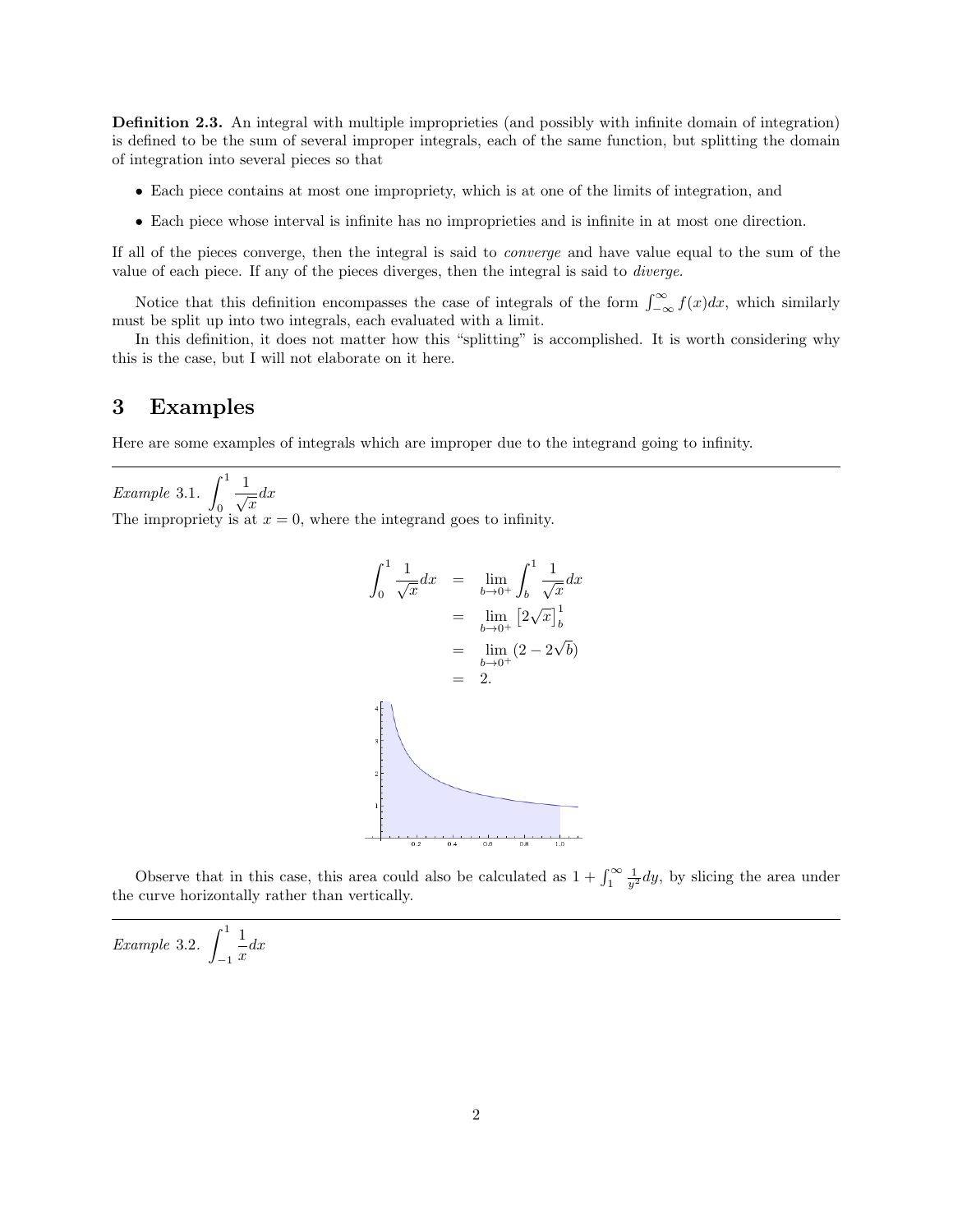Definition 2.3. An integral with multiple improprieties (and possibly with infinite domain of integration) is defined to be the sum of several improper integrals, each of the same function, but splitting the domain of integration into several pieces so that

- Each piece contains at most one impropriety, which is at one of the limits of integration, and
- Each piece whose interval is infinite has no improprieties and is infinite in at most one direction.

If all of the pieces converge, then the integral is said to converge and have value equal to the sum of the value of each piece. If any of the pieces diverges, then the integral is said to diverge.

Notice that this definition encompasses the case of integrals of the form  $\int_{-\infty}^{\infty} f(x)dx$ , which similarly must be split up into two integrals, each evaluated with a limit.

In this definition, it does not matter how this "splitting" is accomplished. It is worth considering why this is the case, but I will not elaborate on it here.

#### 3 Examples

Here are some examples of integrals which are improper due to the integrand going to infinity.

Example 3.1.  $\int_1^1$ 0  $\frac{1}{\sqrt{x}}dx$ The impropriety is at  $x = 0$ , where the integrand goes to infinity.

$$
\int_0^1 \frac{1}{\sqrt{x}} dx = \lim_{b \to 0^+} \int_b^1 \frac{1}{\sqrt{x}} dx
$$
  
\n
$$
= \lim_{b \to 0^+} [2\sqrt{x}]_b^1
$$
  
\n
$$
= \lim_{b \to 0^+} (2 - 2\sqrt{b})
$$
  
\n
$$
= 2.
$$

Observe that in this case, this area could also be calculated as  $1 + \int_1^{\infty} \frac{1}{y^2} dy$ , by slicing the area under the curve horizontally rather than vertically.

Example 3.2. 
$$
\int_{-1}^{1} \frac{1}{x} dx
$$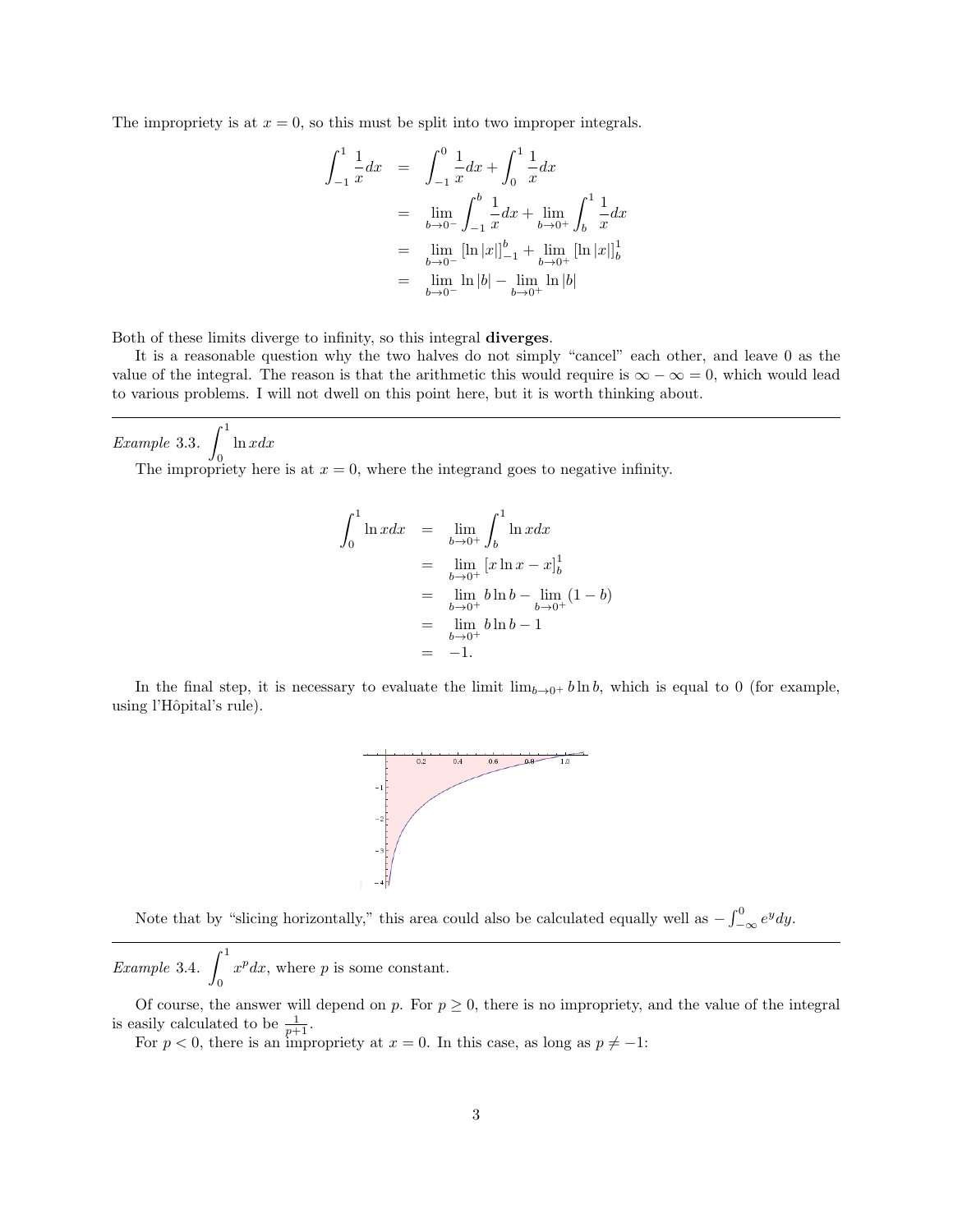The impropriety is at  $x = 0$ , so this must be split into two improper integrals.

$$
\int_{-1}^{1} \frac{1}{x} dx = \int_{-1}^{0} \frac{1}{x} dx + \int_{0}^{1} \frac{1}{x} dx
$$
  
\n
$$
= \lim_{b \to 0^{-}} \int_{-1}^{b} \frac{1}{x} dx + \lim_{b \to 0^{+}} \int_{b}^{1} \frac{1}{x} dx
$$
  
\n
$$
= \lim_{b \to 0^{-}} [\ln |x|]_{-1}^{b} + \lim_{b \to 0^{+}} [\ln |x|]_{b}^{1}
$$
  
\n
$$
= \lim_{b \to 0^{-}} \ln |b| - \lim_{b \to 0^{+}} \ln |b|
$$

Both of these limits diverge to infinity, so this integral diverges.

It is a reasonable question why the two halves do not simply "cancel" each other, and leave 0 as the value of the integral. The reason is that the arithmetic this would require is  $\infty - \infty = 0$ , which would lead to various problems. I will not dwell on this point here, but it is worth thinking about.

Example 3.3.  $\int_0^1$ 0  $ln x dx$ 

The impropriety here is at  $x = 0$ , where the integrand goes to negative infinity.

$$
\int_0^1 \ln x dx = \lim_{b \to 0^+} \int_b^1 \ln x dx
$$
  
=  $\lim_{b \to 0^+} [x \ln x - x]_b^1$   
=  $\lim_{b \to 0^+} b \ln b - \lim_{b \to 0^+} (1 - b)$   
=  $\lim_{b \to 0^+} b \ln b - 1$   
= -1.

In the final step, it is necessary to evaluate the limit  $\lim_{b\to 0^+} b \ln b$ , which is equal to 0 (for example, using l'Hôpital's rule).



Note that by "slicing horizontally," this area could also be calculated equally well as  $-\int_{-\infty}^{0} e^{y} dy$ .

Example 3.4.  $\int_0^1$ 0  $x^p dx$ , where p is some constant.

Of course, the answer will depend on p. For  $p \ge 0$ , there is no impropriety, and the value of the integral is easily calculated to be  $\frac{1}{p+1}$ .

For  $p < 0$ , there is an impropriety at  $x = 0$ . In this case, as long as  $p \neq -1$ :